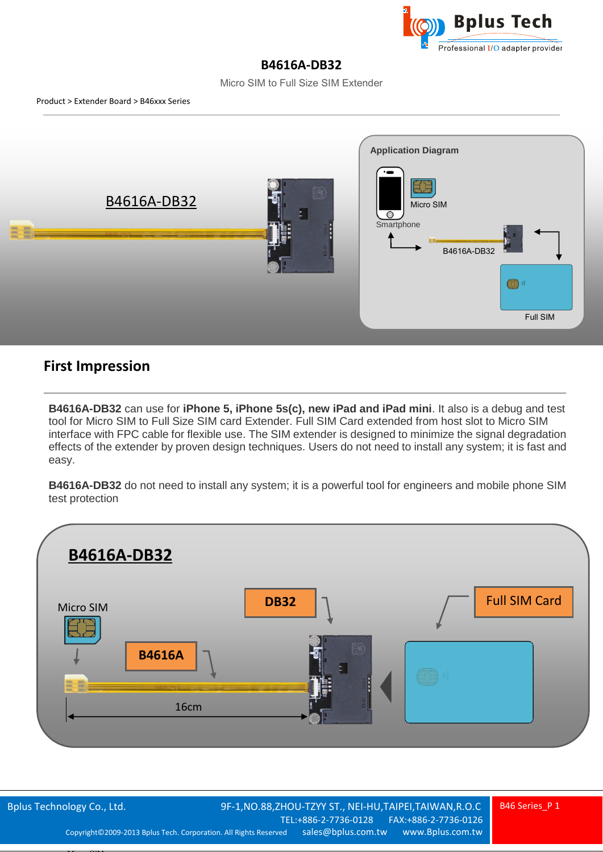

## **B4616A-DB32**

Micro SIM to Full Size SIM Extender



## **First Impression**

Micro SIM

**B4616A-DB32** can use for **iPhone 5, iPhone 5s(c), new iPad and iPad mini**. It also is a debug and test tool for Micro SIM to Full Size SIM card Extender. Full SIM Card extended from host slot to Micro SIM interface with FPC cable for flexible use. The SIM extender is designed to minimize the signal degradation effects of the extender by proven design techniques. Users do not need to install any system; it is fast and easy.

**B4616A-DB32** do not need to install any system; it is a powerful tool for engineers and mobile phone SIM test protection

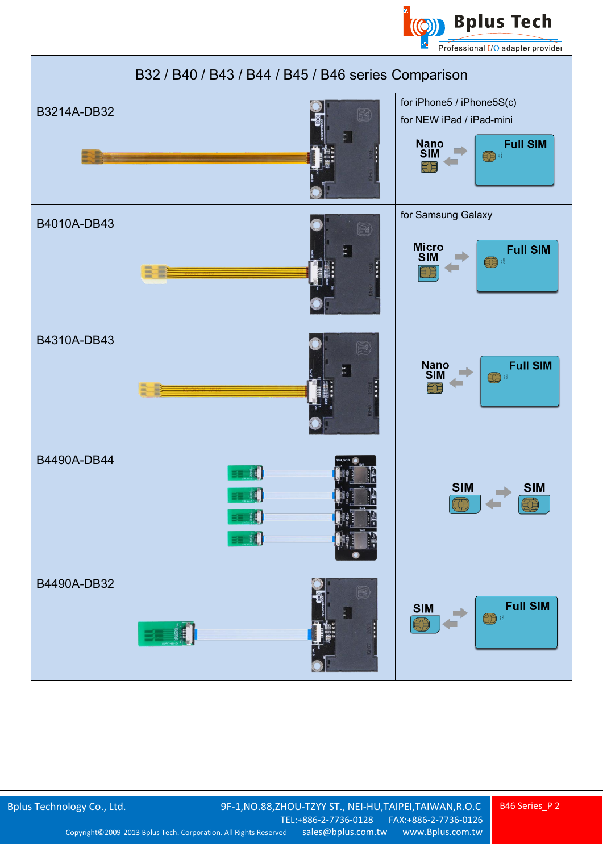



B46 Series\_P 2